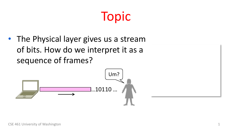#### Topic

• The Physical layer gives us a stream of bits. How do we interpret it as a sequence of frames?

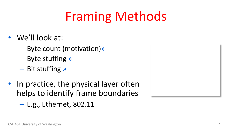# Framing Methods

- We'll look at:
	- Byte count (motivation)»
	- Byte stuffing »
	- Bit stuffing »
- In practice, the physical layer often helps to identify frame boundaries
	- E.g., Ethernet, 802.11

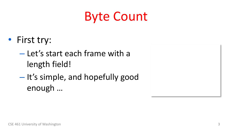### Byte Count

- First try:
	- Let's start each frame with a length field!
	- It's simple, and hopefully good enough …

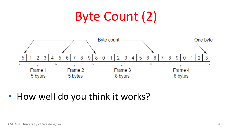### Byte Count (2)



#### • How well do you think it works?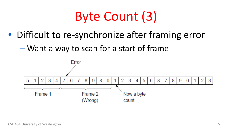### Byte Count (3)

- Difficult to re-synchronize after framing error
	- Want a way to scan for a start of frame

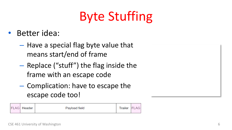## Byte Stuffing

- Better idea:
	- Have a special flag byte value that means start/end of frame
	- Replace ("stuff") the flag inside the frame with an escape code
	- Complication: have to escape the escape code too!

|  | <b>FLAG</b> Header | Payload field | Trailer | <b>FLAG</b> |
|--|--------------------|---------------|---------|-------------|
|--|--------------------|---------------|---------|-------------|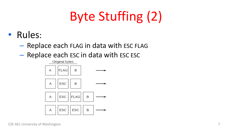### Byte Stuffing (2)

- Rules:
	- Replace each FLAG in data with ESC FLAG
	- Replace each ESC in data with ESC ESC

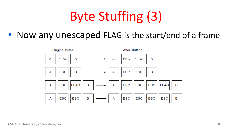### Byte Stuffing (3)

• Now any unescaped FLAG is the start/end of a frame

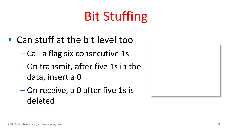## Bit Stuffing

- Can stuff at the bit level too
	- Call a flag six consecutive 1s
	- On transmit, after five 1s in the data, insert a 0
	- On receive, a 0 after five 1s is deleted

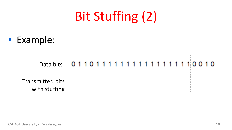### Bit Stuffing (2)

• Example:

Transmitted bits with stuffing Data bits 01101111111111111111110010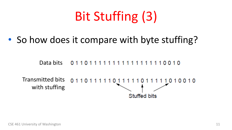# Bit Stuffing (3)

• So how does it compare with byte stuffing?

Data bits011011111111111111110010

Transmitted bits 011011111011 1010010 with stuffing Stuffed bits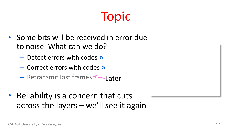#### Topic

- Some bits will be received in error due to noise. What can we do?
	- Detect errors with codes **»**
	- Correct errors with codes **»**
	- Retransmit lost frames ←Later
- Reliability is a concern that cuts across the layers – we'll see it again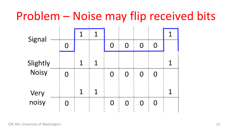#### Problem – Noise may flip received bits

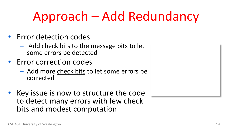### Approach – Add Redundancy

- Error detection codes
	- Add check bits to the message bits to let some errors be detected
- Error correction codes
	- Add more check bits to let some errors be corrected
- Key issue is now to structure the code to detect many errors with few check bits and modest computation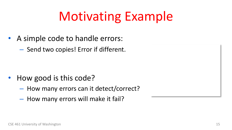### Motivating Example

- A simple code to handle errors:
	- Send two copies! Error if different.

- How good is this code?
	- How many errors can it detect/correct?
	- How many errors will make it fail?

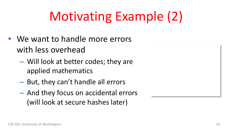# Motivating Example (2)

- We want to handle more errors with less overhead
	- Will look at better codes; they are applied mathematics
	- But, they can't handle all errors
	- And they focus on accidental errors (will look at secure hashes later)

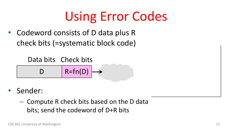### Using Error Codes

• Codeword consists of D data plus R check bits (=systematic block code)

Data bits Check bits

 $D$  | R=fn(D)

• Sender:

– Compute R check bits based on the D data bits; send the codeword of D+R bits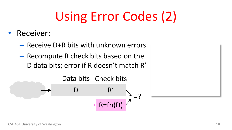# Using Error Codes (2)

- Receiver:
	- Receive D+R bits with unknown errors
	- Recompute R check bits based on the D data bits; error if R doesn't match R'

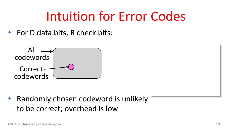### Intuition for Error Codes

• For D data bits, R check bits:



• Randomly chosen codeword is unlikely to be correct; overhead is low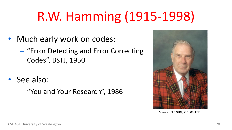### R.W. Hamming (1915-1998)

- Much early work on codes:
	- "Error Detecting and Error Correcting Codes", BSTJ, 1950
- See also:
	- "You and Your Research", 1986



Source: IEEE GHN, © 2009 IEEE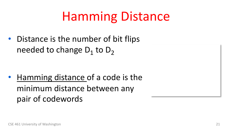### Hamming Distance

• Distance is the number of bit flips needed to change  $D_1$  to  $D_2$ 

• Hamming distance of a code is the minimum distance between any pair of codewords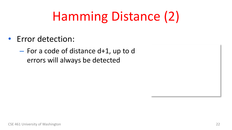# Hamming Distance (2)

- Error detection:
	- For a code of distance d+1, up to d errors will always be detected